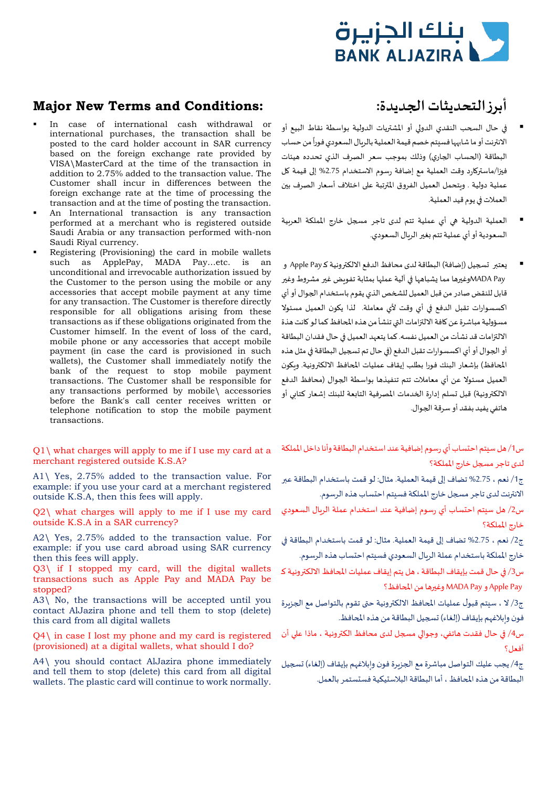

# **Major New Terms and Conditions: :جديدة�ا التحديثات أبرز**

- In case of international cash withdrawal or international purchases, the transaction shall be posted to the card holder account in SAR currency based on the foreign exchange rate provided by VISA\MasterCard at the time of the transaction in addition to 2.75% added to the transaction value. The Customer shall incur in differences between the foreign exchange rate at the time of processing the transaction and at the time of posting the transaction.
- An International transaction is any transaction performed at a merchant who is registered outside Saudi Arabia or any transaction performed with-non Saudi Riyal currency.
- Registering (Provisioning) the card in mobile wallets such as ApplePay, MADA Pay…etc. is an unconditional and irrevocable authorization issued by the Customer to the person using the mobile or any accessories that accept mobile payment at any time for any transaction. The Customer is therefore directly responsible for all obligations arising from these transactions as if these obligations originated from the Customer himself. In the event of loss of the card, mobile phone or any accessories that accept mobile payment (in case the card is provisioned in such wallets), the Customer shall immediately notify the bank of the request to stop mobile payment transactions. The Customer shall be responsible for any transactions performed by mobile\ accessories before the Bank's call center receives written or telephone notification to stop the mobile payment transactions.

### $Q1\backslash$  what charges will apply to me if I use my card at a merchant registered outside K.S.A?

A1\ Yes, 2.75% added to the transaction value. For example: if you use your card at a merchant registered outside K.S.A, then this fees will apply.

Q2\ what charges will apply to me if I use my card outside K.S.A in a SAR currency?

A2\ Yes, 2.75% added to the transaction value. For example: if you use card abroad using SAR currency then this fees will apply.

Q3\ if I stopped my card, will the digital wallets transactions such as Apple Pay and MADA Pay be stopped?

A3\ No, the transactions will be accepted until you contact AlJazira phone and tell them to stop (delete) this card from all digital wallets

Q4\ in case I lost my phone and my card is registered (provisioned) at a digital wallets, what should I do?

A4\ you should contact AlJazira phone immediately and tell them to stop (delete) this card from all digital wallets. The plastic card will continue to work normally.

- في حال السحب النقدي الدولي أو المشتريات الدولية بواسطة نقاط البيع أو -<br>الانترنت أو ما شابهها فسيتم خصم قيمة العملية بالريال السعودي فوراً من حساب البطاقة (ا�حساب ا�جاري) وذلك بموجب سعر الصرف الذي تحدده هيئات فبزا/ماستركارد وقت العملية مع إضافة رسوم الاستخدام 2.75% إلى قيمة كل عملية دولية . وبتحمل العميل الفروق المترتبة على اختلاف أسعار الصرف بين العملات �� يوم قيد العملية.
- العملية الدولية �� أي عملية تتم لدى تاجر م�جل خارج المملكة العر�ية السعودية أو أي عملية تتم بغير الربال السعودي.
- يعتبر تسجيل (إضافة) البطاقة لدى محافظ الدفع الالكترونية كـ Apple Pay و MADA Payوغيرها مما يشباهها في آلية عملها بمثابة تفويض غير مشروط وغير قابل للنقض صادر من قبل العميل لل�خص الذي يقوم باستخدام ا�جوال أو أي اكسسوارات تقبل الدفع �� أي وقت لأي معاملة. لذا ي�ون العميل مسئولا مسؤولية مباشرة عن كافة الالتزامات التي تنشأ من هذه المحافظ كما لو كانت هذة الالتزامات قد نشأت من العميل نفسه. كما يتعهد العميل في حال فقدان البطاقة أو الجوال أو أي اكسسوارات تقبل الدفع (في حال تم تسجيل البطاقة في مثل هذه المحافظ) بإشعار البنك فورا بطلب إيقاف عمليات المحافظ الالكترونية. وبكون العميل مسئولا عن أي معاملات تتم تنفيذها بواسطة ا�جوال (محافظ الدفع الالك��ونية) قبل �سلم إدارة ا�خدمات المصرفية التا�عة للبنك إشعار كتا�ي أو هاتفي يفيد بفقد أو سرقة ا�جوال.

س/1 هل سيتم احتساب أي رسوم إضافية عند استخدام البطاقة وأنا داخل المملكة لدى تاجر م�جل خارج المملكة؟

ج1/ نعم ، 2.75% تضاف إلى قيمة العملية. مثال: لو قمت باستخدام البطاقة عبر الانترنت لدى تاجر مسجل خارج المملكة فسيتم احتساب هذه الرسوم.

س/2 هل سيتم احتساب أي رسوم إضافية عند استخدام عملة الر�ال السعودي خارج المملكة؟

ج2/ نعم ، 2.75% تضاف إلى قيمة العملية. مثال: لو قمت باستخدام البطاقة في خارج المملكة باستخدام عملة الر�ال السعودي فسيتم احتساب هذه الرسوم.

س3/ في حال قمت بإيقاف البطاقة ، هل يتم إيقاف عمليات المحافظ الالكترونية كـ Pay Apple و Pay MADAوغ��ها من ا�حافظ؟

ج3/ لا ، سيتم قبول عمليات المحافظ الالكترونية حتى تقوم بالتواصل مع الجزبرة فون وابلاغهم بإيقاف (إلغاء) تسجيل البطاقة من هذه المحافظ.

س4/ في حال فقدت هاتفي، وجوالي مسجل لدى محافظ الكترونية ، ماذا على أن أفعل؟

ج4/ يجب عليك التواصل مباشرة مع الجزيرة فون وإبلاغهم بإيقاف (إلغاء) تسجيل البطاقة من هذه ا�حافظ ، أما البطاقة البلاستيكية فستستمر بالعمل.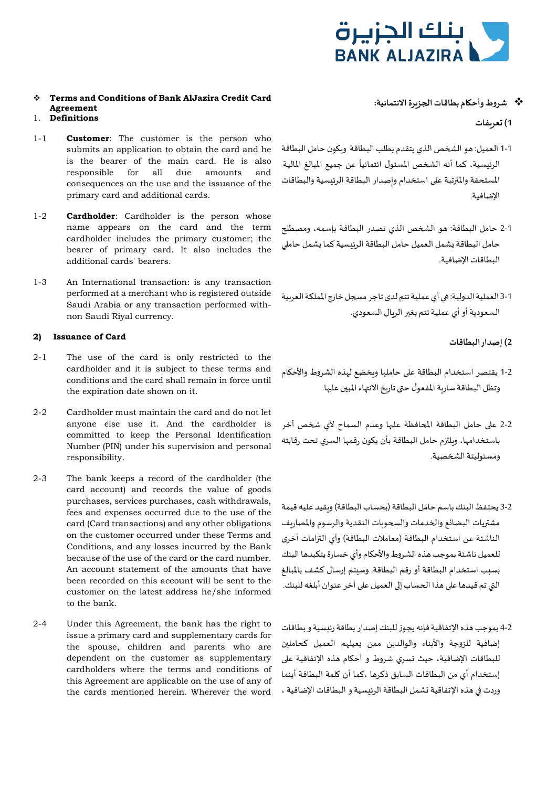

# **Terms and Conditions of Bank AlJazira Credit Card Agreement**

# **1) �عر�فات Definitions** 1.

- 1-1 **Customer**: The customer is the person who submits an application to obtain the card and he is the bearer of the main card. He is also responsible for all due amounts and consequences on the use and the issuance of the primary card and additional cards.
- 1-2 **Cardholder**: Cardholder is the person whose name appears on the card and the term cardholder includes the primary customer; the bearer of primary card. It also includes the additional cards' bearers.
- 1-3 An International transaction: is any transaction performed at a merchant who is registered outside Saudi Arabia or any transaction performed withnon Saudi Riyal currency.

# **2) Issuance of Card البطاقات إصدار) 2**

- 2-1 The use of the card is only restricted to the cardholder and it is subject to these terms and conditions and the card shall remain in force until the expiration date shown on it.
- 2-2 Cardholder must maintain the card and do not let anyone else use it. And the cardholder is committed to keep the Personal Identification Number (PIN) under his supervision and personal responsibility.
- 2-3 The bank keeps a record of the cardholder (the card account) and records the value of goods purchases, services purchases, cash withdrawals, fees and expenses occurred due to the use of the card (Card transactions) and any other obligations on the customer occurred under these Terms and Conditions, and any losses incurred by the Bank because of the use of the card or the card number. An account statement of the amounts that have been recorded on this account will be sent to the customer on the latest address he/she informed to the bank.
- 2-4 Under this Agreement, the bank has the right to issue a primary card and supplementary cards for the spouse, children and parents who are dependent on the customer as supplementary cardholders where the terms and conditions of this Agreement are applicable on the use of any of the cards mentioned herein. Wherever the word

### **شروط وأح�ام بطاقات ا�جز�رةالائتمانية:**

- 1-1 العميل: هو ال�خص الذي يتقدم بطلب البطاقة و��ون حامل البطاقة الرئيسية، كما أنه الشخص المسئول ائتمانياً عن جميع المبالغ المالية المستحقة والمترتبة على استخدام واصدار البطاقة الرئيسية والبطاقات الإضافية.
- 2-1 حامل البطاقة: هو ال�خص الذي تصدر البطاقة بإسمھ، ومصط�ح حامل البطاقة يشمل العميل حامل البطاقة الرئيسية كما يشمل حاملى البطاقات الإضافية.
- 3-1 العملية الدولية: �� أي عملية تتم لدى تاجر م�جل خارج المملكة العر�ية السعودية أو أي عملية تتم بغير الربال السعودي.
	-
- 1-2 يقتصر استخدام البطاقة على حاملها وبخضع لهذه الشروط والأحكام وتظل البطاقة سارية المفعول حتى تاريخ الانتهاء المبين عليها.
- 2-2 على حامل البطاقة المحافظة عليها وعدم السماح لأي شخص آخر باستخدامها، وبلتزم حامل البطاقة بأن يكون رقمها السري تحت رقابته ومسئوليتة ال�خصية.
- 3-2 يحتفظ البنك باسم حامل البطاقة (بحساب البطاقة) و�قيد عليھ قيمة مشتريات البضائع والخدمات والسحوبات النقدية والرسوم والمصاربف الناشئة عن استخدام البطاقة (معاملات البطاقة) وأي ال��امات أخرى للعميل ناشئة بموجب هذه الشروط والأح�ام وأي خسارة يتكبدها البنك �سبب استخدام البطاقة أو رقم البطاقة. وسيتم إرسال كشف بالمبالغ التي تم قيدها على هذا الحساب إلى العميل على آخر عنوان أبلغه للبنك.
- 4-2 بموجب هذه الإتفاقية فإنھ يجوز للبنك إصدار بطاقة رئيسية و بطاقات إضافية للزوجة والأبناء والوالدين ممن يعيلهم العميل كحاملين للبطاقات الإضافية، حيث �سري شروط و أح�ام هذه الإتفاقية ع�� إستخدام أي من البطاقات السابق ذكرها ،كما أن �لمة البطاقة أينما وردت في هذه الإتفاقية تشمل البطاقة الرئيسية و البطاقات الإضافية ،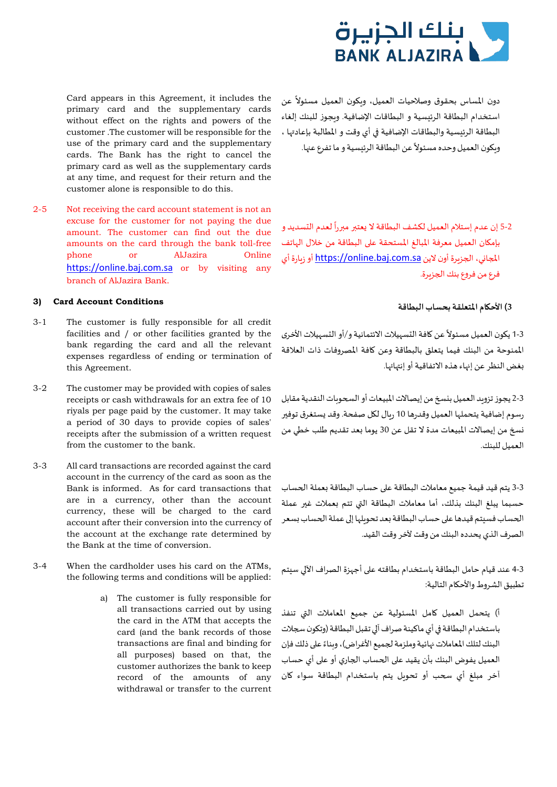

Card appears in this Agreement, it includes the primary card and the supplementary cards without effect on the rights and powers of the customer *.*The customer will be responsible for the use of the primary card and the supplementary cards. The Bank has the right to cancel the primary card as well as the supplementary cards دون المساس بحقوق وصلاحيات العميل، ويكون العميل مسئولاً عن استخدام البطاقة الرئيسية و البطاقات الإضافية. و�جوز للبنك إلغاء البطاقة الرئيسية والبطاقات الإضافية في أي وقت و المطالبة بإعادتها ، .<br>ويكون العميل وحده مسئولاً عن البطاقة الرئيسية و ما تفرع عنها.

2-5 Not receiving the card account statement is not an excuse for the customer for not paying the due amount. The customer can find out the due amounts on the card through the bank toll-free phone or AlJazira Online [https://online.baj.com.sa](https://online.baj.com.sa/) or by visiting any branch of AlJazira Bank.

customer alone is responsible to do this.

at any time, and request for their return and the

# **3) الأح�ام المتعلقة بحساب البطاقة Conditions Account Card) <sup>3</sup>**

- 3-1 The customer is fully responsible for all credit facilities and / or other facilities granted by the bank regarding the card and all the relevant expenses regardless of ending or termination of this Agreement.
- 3-2 The customer may be provided with copies of sales receipts or cash withdrawals for an extra fee of 10 riyals per page paid by the customer. It may take a period of 30 days to provide copies of sales' receipts after the submission of a written request from the customer to the bank.
- 3-3 All card transactions are recorded against the card account in the currency of the card as soon as the Bank is informed. As for card transactions that are in a currency, other than the account currency, these will be charged to the card account after their conversion into the currency of the account at the exchange rate determined by the Bank at the time of conversion.
- 3-4 When the cardholder uses his card on the ATMs,
	- a) The customer is fully responsible for all transactions carried out by using the card in the ATM that accepts the card (and the bank records of those transactions are final and binding for all purposes) based on that, the customer authorizes the bank to keep record of the amounts of any withdrawal or transfer to the current

ً5-2 إن عدم إستلام العميل لكشف البطاقة لا يعتبر مبرراً لعدم التسديد و بإم�ان العميل معرفة المبالغ المستحقة ع�� البطاقة من خلال الهاتف ا�جا�ي، ا�جز�رة أون لاين [sa.com.baj.online://https](https://online.baj.com.sa/) أو ز�ارة أي فرع من فروع بنك الجزيرة.

ً3-1 يكون العميل مسئولاً عن كافة التسهيلات الائتمانية و/أو التسهيلات الأخرى الممنوحة من البنك فيما يتعلق بالبطاقة وعن �افة المصروفات ذات العلاقة بغض النظر عن إنهاء هذه الاتفاقية أو إنتهائها.

2-3 يجوز تزويد العميل بنسخ من إيصالات المبيعات أو السحوبات النقدية مقابل رسوم إضافية يتحملها العميل وقدرها 10 رىال لكل صفحة. وقد يستغرق توفير ��خ من إيصالات المبيعات مدة لا تقل عن 30 يوما �عد تقديم طلب خطي من العميل للبنك.

3-3 يتم قيد قيمة جميع معاملات البطاقة على حساب البطاقة بعملة الحساب حسبما يبلغ البنك بذلك، أما معاملات البطاقة ال�ي تتم �عملات غ�� عملة الحساب فسنتم قيدها على حساب البطاقة بعد تحويلها إلى عملة الحساب بسعر الصرف الذي يحدده البنك من وقت لآخر وقت القيد.

4-3 عند قيام حامل البطاقة باستخدام بطاقتھ ع�� أجهزة الصراف الآ�� سيتم :applied be will conditions and terms following the تطبيق الشروط والأح�ام التالية:

> أ) يتحمل العميل �امل المسئولية عن جميع المعاملات ال�ي تنفذ باستخدام البطاقة في أي ماكينة صراف آلي تقبل البطاقة (وتكون سجلات البنك لتلك المعاملات نهائية وملزمة لجميع الأغراض)، وبناءً على ذلك فإن العميل يفوض البنك بأن يقيد على الحساب الجاري أو على أي حساب آخر مبلغ أي �حب أو تحو�ل يتم باستخدام البطاقة سواء �ان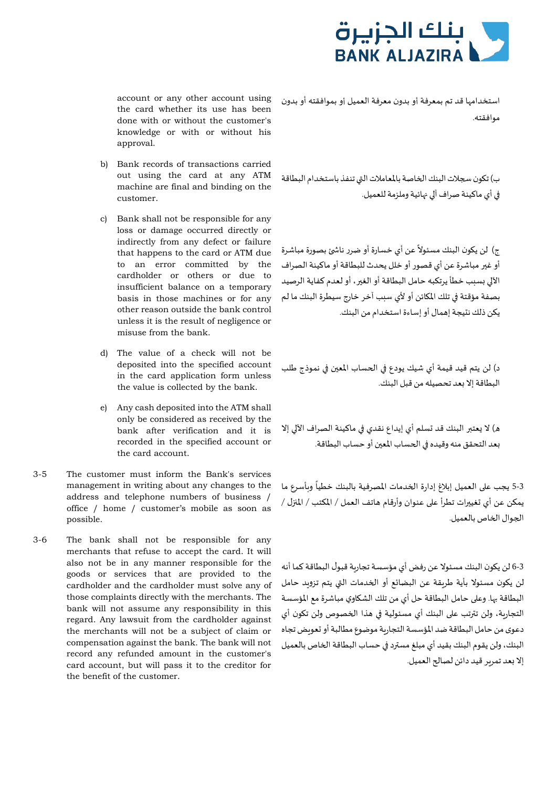

account or any other account using the card whether its use has been done with or without the customer's knowledge or with or without his approval.

- b) Bank records of transactions carried out using the card at any ATM machine are final and binding on the customer.
- c) Bank shall not be responsible for any loss or damage occurred directly or indirectly from any defect or failure that happens to the card or ATM due to an error committed by the cardholder or others or due to insufficient balance on a temporary basis in those machines or for any other reason outside the bank control unless it is the result of negligence or misuse from the bank.
- d) The value of a check will not be deposited into the specified account in the card application form unless the value is collected by the bank.
- e) Any cash deposited into the ATM shall only be considered as received by the bank after verification and it is recorded in the specified account or the card account.
- 3-5 The customer must inform the Bank's services management in writing about any changes to the address and telephone numbers of business / office / home / customer's mobile as soon as possible.
- 3-6 The bank shall not be responsible for any merchants that refuse to accept the card. It will also not be in any manner responsible for the goods or services that are provided to the cardholder and the cardholder must solve any of those complaints directly with the merchants. The bank will not assume any responsibility in this regard. Any lawsuit from the cardholder against the merchants will not be a subject of claim or compensation against the bank. The bank will not record any refunded amount in the customer's card account, but will pass it to the creditor for the benefit of the customer.

استخدامها قد تم بمعرفة أو بدون معرفة العميل أو بموافقته أو بدون موافقتھ.

ب) تكون سجلات البنك الخاصة بالمعاملات التي تنفذ باستخدام البطاقة �� أي ماكينة صراف آ�� ��ائية وملزمة للعميل.

ًج) لن يكون البنك مسئولاً عن أي خسارة أو ضرر ناشئ بصورة مباشرة أو غ�� مباشرة عن أي قصور أو خلل يحدث للبطاقة أو ماكينة الصراف الآ�� �سبب خطأ يرتكبھ حامل البطاقة أو الغ��، أو لعدم كفاية الرصيد بصفة مؤقتة في تلك المكائن أو لأي سبب آخر خارج سيطرة البنك ما لم يكن ذلك نتيجة إهمال أو إساءةاستخدام من البنك.

د) لن يتم قيد قيمة أي شيك يودع في الحساب المعين في نموذج طلب البطاقة إلا �عد تحصيلھ من قبل البنك.

ه) لا يعتبر البنك قد تسلم أي إيداع نقدي في ماكينة الصراف الآلي إلا �عد التحقق منھ وقيده �� ا�حساب المع�ن أو حساب البطاقة.

ً3-3 يجب على العميل إبلاغ إدارة الخدمات المصرفية بالبنك خطياً وبأسرع ما يمكن عن أي تغييرات تطرأ على عنوان وأرقام هاتف العمل / المكتب / المنزل / ا�جوال ا�خاص بالعميل.

6-3 لن ي�ون البنك مسئولا عن رفض أي مؤسسة تجار�ة قبول البطاقة كما أنھ لن ي�ون مسئولا بأية طر�قة عن البضائع أو ا�خدمات ال�ي يتم تزو�د حامل البطاقة ��ا. وع�� حامل البطاقة حل أي من تلك الش�اوي مباشرة مع المؤسسة التجارِبة، ولن تترتب على البنك أي مسئولية في هذا الخصوص ولن تكون أي دعوى من حامل البطاقة ضد المؤسسة التجار�ة موضوع مطالبة أو �عو�ض تجاه البنك، ولن يقوم البنك بقيد أي مبلغ مس��د �� حساب البطاقة ا�خاص بالعميل إلا بعد تمرير قيد دائن لصالح العميل.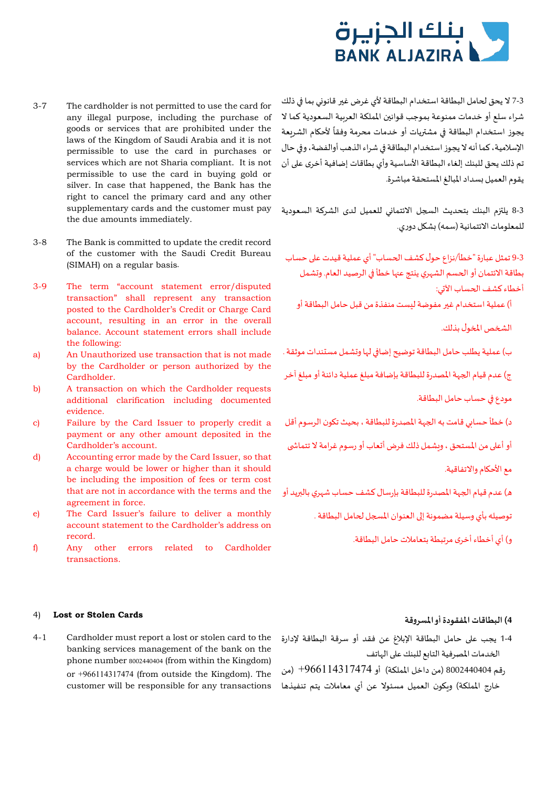

- 3-7 The cardholder is not permitted to use the card for any illegal purpose, including the purchase of goods or services that are prohibited under the laws of the Kingdom of Saudi Arabia and it is not permissible to use the card in purchases or services which are not Sharia compliant. It is not permissible to use the card in buying gold or silver. In case that happened, the Bank has the right to cancel the primary card and any other supplementary cards and the customer must pay the due amounts immediately.
- 3-8 The Bank is committed to update the credit record of the customer with the Saudi Credit Bureau (SIMAH) on a regular basis.
- 3-9 The term "account statement error/disputed transaction" shall represent any transaction posted to the Cardholder's Credit or Charge Card account, resulting in an error in the overall balance. Account statement errors shall include the following:
- a) An Unauthorized use transaction that is not made by the Cardholder or person authorized by the Cardholder.
- b) A transaction on which the Cardholder requests additional clarification including documented evidence.
- c) Failure by the Card Issuer to properly credit a payment or any other amount deposited in the Cardholder's account.
- d) Accounting error made by the Card Issuer, so that a charge would be lower or higher than it should be including the imposition of fees or term cost that are not in accordance with the terms and the agreement in force.
- e) The Card Issuer's failure to deliver a monthly account statement to the Cardholder's address on record.
- f) Any other errors related to Cardholder transactions.

# 3-7 لا يحق لحامل البطاقة استخدام البطاقة لأي غرض غير قانوني بما في ذلك شراء سلع أو خدمات ممنوعة بموجب قوانين المملكة العربية السعودية كما لا ً لأح�ام الشريعة يجوز استخدام البطاقة �� مش��يات أو خدمات محرمة وفقا الإسلامية،كما أنھ لا يجوز استخدام البطاقة �� شراء الذهب أوالفضة، و�� حال تم ذلك يحق للبنك إلغاء البطاقة الأساسية وأي بطاقات إضافية أخرى ع�� أن يقوم العميل �سداد المبالغ المستحقة مباشرة.

8-3 يلتزم البنك بتحديث السجل الائتماني للعميل لدى الشركة السعودية للمعلومات الائتمانية (سمھ) �ش�ل دوري.

9-3 تمثل عبارة "خطأ/نزاع حول كشف الحساب" أي عملية قيدت على حساب بطاقة الائتمان أو الحسم الشهري ينتج عها خطأ في الرصيد العام. وتشمل أخطاء كشف الحساب الآتي:

أ) عملية استخدام غير مفوضة ليست منفذة من قبل حامل البطاقة أو

الشخص المخول بذلك.

ب) عملية يطلب حامل البطاقة توضيح إضافي لها وتشمل مستندات موثقة .

ج) عدم قيام الجهة المصدرة للبطاقة بإضافة مبلغ عملية دائنة أو مبلغ آخر

مودع �� حساب حامل البطاقة.

د) خطأ حسابي قامت به الجهة المصدرة للبطاقة ، بحيث تكون الرسوم أقل

أو أعلى من المستحق ، ويشمل ذلك فرض أتعاب أو رسوم غرامة لا تتماشى

معالأح�ام والاتفاقية.

ه) عدم قيام الجهة المصدرة للبطاقة بإرسال كشف حساب شهري بالبريد أو

توصيله بأي وسيلة مضمونة إلى العنوان المسجل لحامل البطاقة .

و) أي أخطاء أخرى مرتبطة بتعاملات حامل البطاقة.

### **4) البطاقات المفقودة أو المسروقة Cards Stolen or Lost**) <sup>4</sup>

4-1 Cardholder must report a lost or stolen card to the banking services management of the bank on the phone number 8002440404 (from within the Kingdom) or +966114317474 (from outside the Kingdom). The customer will be responsible for any transactions

- 1-4 يجب ع�� حامل البطاقة الإبلاغ عن فقد أو سرقة البطاقة لإدارة الخدمات المصرفية التابع للبنك على الهاتف
- رقم 8002440404 (من داخل المملكة) أو +966114317474 (من خارج المملكة) و��ون العميل مسئولا عن أي معاملات يتم تنفيذها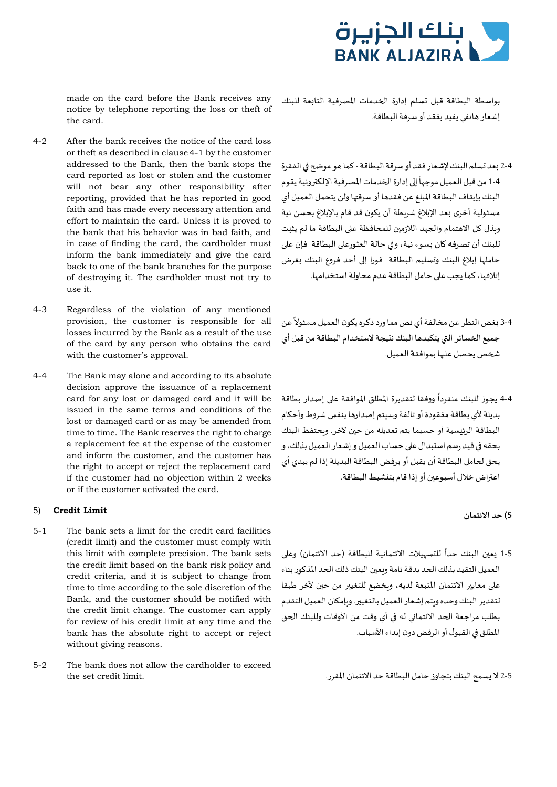

made on the card before the Bank receives any notice by telephone reporting the loss or theft of the card.

- 4-2 After the bank receives the notice of the card loss or theft as described in clause 4-1 by the customer addressed to the Bank, then the bank stops the card reported as lost or stolen and the customer will not bear any other responsibility after reporting, provided that he has reported in good faith and has made every necessary attention and effort to maintain the card. Unless it is proved to the bank that his behavior was in bad faith, and in case of finding the card, the cardholder must inform the bank immediately and give the card back to one of the bank branches for the purpose of destroying it. The cardholder must not try to use it.
- 4-3 Regardless of the violation of any mentioned provision, the customer is responsible for all losses incurred by the Bank as a result of the use of the card by any person who obtains the card with the customer's approval.
- 4-4 The Bank may alone and according to its absolute decision approve the issuance of a replacement card for any lost or damaged card and it will be issued in the same terms and conditions of the lost or damaged card or as may be amended from time to time. The Bank reserves the right to charge a replacement fee at the expense of the customer and inform the customer, and the customer has the right to accept or reject the replacement card if the customer had no objection within 2 weeks or if the customer activated the card.

# **5) حد الائتمان Limit Credit**) <sup>5</sup>

- 5-1 The bank sets a limit for the credit card facilities (credit limit) and the customer must comply with this limit with complete precision. The bank sets the credit limit based on the bank risk policy and credit criteria, and it is subject to change from time to time according to the sole discretion of the Bank, and the customer should be notified with the credit limit change. The customer can apply for review of his credit limit at any time and the bank has the absolute right to accept or reject without giving reasons.
- 5-2 The bank does not allow the cardholder to exceed 2-5 لا �سمح البنك بتجاوز حامل البطاقة حد الائتمان المقرر. .limit credit set the

بواسطة البطاقة قبل �سلم إدارة ا�خدمات المصرفية التا�عة للبنك إشعار هاتفي يفيد بفقد أو سرقة البطاقة.

- 2-4 يعد تسلم البنك لإشعار فقد أو سرقة البطاقة كما هو موضح في الفقرة ً1-4 من قبل العميل موجهاً إلى إدارة الخدمات المصرفية الإلكترونية يقوم البنك بإيقاف البطاقة المبلغ عن فقدها أو سرق��ا ولن يتحمل العميل أي مسئولية أخرى بعد الإبلاغ شربطة أن يكون قد قام بالإبلاغ بحسن نية وبذل كل الاهتمام والجهد اللازمين للمحافظة على البطاقة ما لم يثبت للبنك أن تصرفه كان بسوء نية، وفي حالة العثورعلى البطاقة فإن على حاملها إبلاغ البنك وتسليم البطاقة فورا إلى أحد فروع البنك بغرض إتلافها، كما يجب ع�� حامل البطاقة عدم محاولة استخدامها.
- ً3-4 بغض النظر عن مخالفة أي نص مما ورد ذكره يكون العميل مسئولاً عن جميع ا�خسائر ال�ي يتكبدها البنك نتيجة لاستخدام البطاقة من قبل أي �خص يحصل عل��ا بموافقة العميل.
- ً4-4 يجوز للبنك منفردأ ووفقا لتقديرة المطلق الموافقة على إصدار بطاقة بديلة لأي بطاقة مفقودة أو تالفة وسيتم إصدارها بنفس شروط وأح�ام البطاقة الرئيسية أو حسبما يتم تعديله من حين لآخر. وبحتفظ البنك بحقھ �� قيد رسم استبدال ع�� حساب العميل و إشعار العميل بذلك، و يحق �حامل البطاقة أن يقبل أو يرفض البطاقة البديلة إذا لم يبدي أي اعتراض خلال أسبوعين أو إذا قام بتنشيط البطاقة.

ً5-1 يعين البنك حداً للتسهيلات الائتمانية للبطاقة (حد الائتمان) وعلى العميل التقيد بذلك الحد بدقة تامة ويعبن البنك ذلك الحد المذكور بناء على معايير الائتمان المتبعة لديه، وبخضع للتغيير من حين لآخر طبقا لتقدير البنك وحده ويتم إشعار العميل بالتغيير . وبإمكان العميل التقدم بطلب مراجعة الحد الائتماني له في أي وقت من الأوقات وللبنك الحق المطلق �� القبول أو الرفض دون إبداء الأسباب.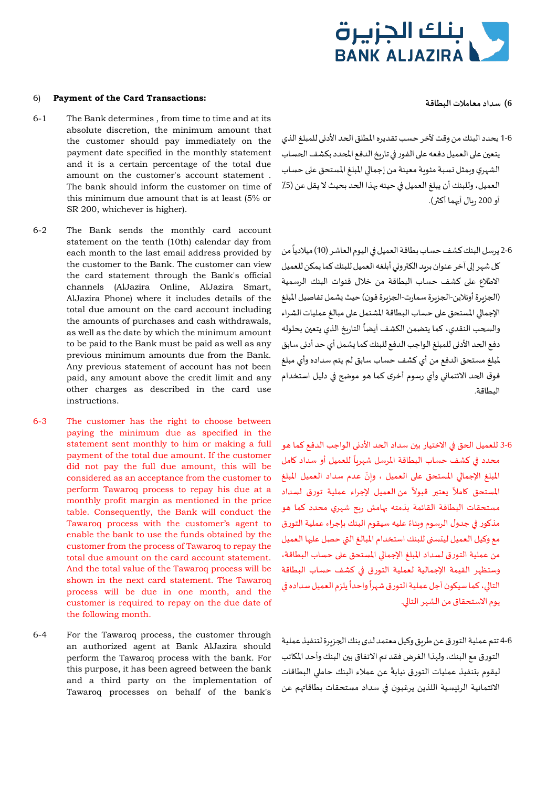

- 1-6 يحدد البنك من وقت لآخر حسب تقديره المطلق ا�حد الأد�ى للمبلغ الذي يتعين على العميل دفعه على الفور في تاريخ الدفع المحدد بكشف الحساب الشهري وبمثل نسبة مئومة معينة من إجمالي المبلغ المستحق على حساب العميل، وللبنك أن يبلغ العميل في حينه بهذا الحد بحيث لا يقل عن (5/ أو 200 ريال أيهما أكثر).
- 2-6 يرسل البنك كشف حساب بطاقة العميل في اليوم العاشر (10) ميلادياً من كل شهر إلى آخر عنوان بريد الكتروني أبلغه العميل للبنك كما يمكن للعميل الاطلاع ع�� كشف حساب البطاقة من خلال قنوات البنك الرسمية (الجزيرة أونلاين-الجزيرة سمارت-الجزيرة فون) حيث يشمل تفاصيل المبلغ الإجمالي المستحق على حساب البطاقة المشتمل على مبالغ عمليات الشراء والسحب النقدي، كما يتضمن الكشف أيضاً التاريخ الذي يتعين بحلوله دفع الحد الأدني للمبلغ الواجب الدفع للبنك كما يشمل أي حد أدنى سابق لمبلغ مستحق الدفع من أي كشف حساب سابق لم يتم سداده وأي مبلغ فوق ا�حد الائتما�ي وأي رسوم أخرى كما هو مو�ح �� دليل استخدام البطاقة.
- 3-6 للعميل ا�حق �� الاختيار ب�ن سداد ا�حد الأد�ى الواجب الدفع كما هو ً للعميل أو سداد �امل محدد �� كشف حساب البطاقة المرسل شهر�ا .<br>المبلغ الإجمالي المستحق على العميل ، وإنّ عدم سداد العميل المبلغ ت<br>المستحق كاملاً يعتبر قبولاً من العميل لإجراء عملية تورق لسداد مستحقات البطاقة القائمة بذمتھ ��امش ر�ح شهري محدد كما هو مذكور في جدول الرسوم وبناءً عليه سيقوم البنك بإجراء عملية التورق مع وكيل العميل ليتسنى للبنك استخدام المبالغ التي حصل عليها العميل من عملية التورق لسداد المبلغ الإجمالي المستحق على حساب البطاقة، وستظهر القيمة الإجمالية لعملية التورق �� كشف حساب البطاقة .<br>التالي، كما سيكون أجل عملية التورق شهراً واحداً يلزم العميل سداده في يوم الاستحقاق من الشهر التالي.
- 4-6 تتم عملية التورق عن طر�ق وكيل معتمد لدى بنك ا�جز�رة لتنفيذ عملية التورق مع البنك، ولهذا الغرض فقد تم الاتفاق ب�ن البنك وأحد الم�اتب ت<br>ليقوم بتنفيذ عمليات التورق نيابةً عن عملاء البنك حاملي البطاقات الائتمانية الرئيسية اللذين يرغبون �� سداد مستحقات بطاقا��م عن

### 6) **Payment of the Card Transactions: البطاقة معاملات سداد) 6**

- 6-1 The Bank determines , from time to time and at its absolute discretion, the minimum amount that the customer should pay immediately on the payment date specified in the monthly statement and it is a certain percentage of the total due amount on the customer's account statement . The bank should inform the customer on time of this minimum due amount that is at least (5% or SR 200, whichever is higher).
- 6-2 The Bank sends the monthly card account statement on the tenth (10th) calendar day from each month to the last email address provided by the customer to the Bank. The customer can view the card statement through the Bank's official channels (AlJazira Online, AlJazira Smart, AlJazira Phone) where it includes details of the total due amount on the card account including the amounts of purchases and cash withdrawals, as well as the date by which the minimum amount to be paid to the Bank must be paid as well as any previous minimum amounts due from the Bank. Any previous statement of account has not been paid, any amount above the credit limit and any other charges as described in the card use instructions.
- 6-3 The customer has the right to choose between paying the minimum due as specified in the statement sent monthly to him or making a full payment of the total due amount. If the customer did not pay the full due amount, this will be considered as an acceptance from the customer to perform Tawaroq process to repay his due at a monthly profit margin as mentioned in the price table. Consequently, the Bank will conduct the Tawaroq process with the customer's agent to enable the bank to use the funds obtained by the customer from the process of Tawaroq to repay the total due amount on the card account statement. And the total value of the Tawaroq process will be shown in the next card statement. The Tawaroq process will be due in one month, and the customer is required to repay on the due date of the following month.
- 6-4 For the Tawaroq process, the customer through an authorized agent at Bank AlJazira should perform the Tawaroq process with the bank. For this purpose, it has been agreed between the bank and a third party on the implementation of Tawaroq processes on behalf of the bank's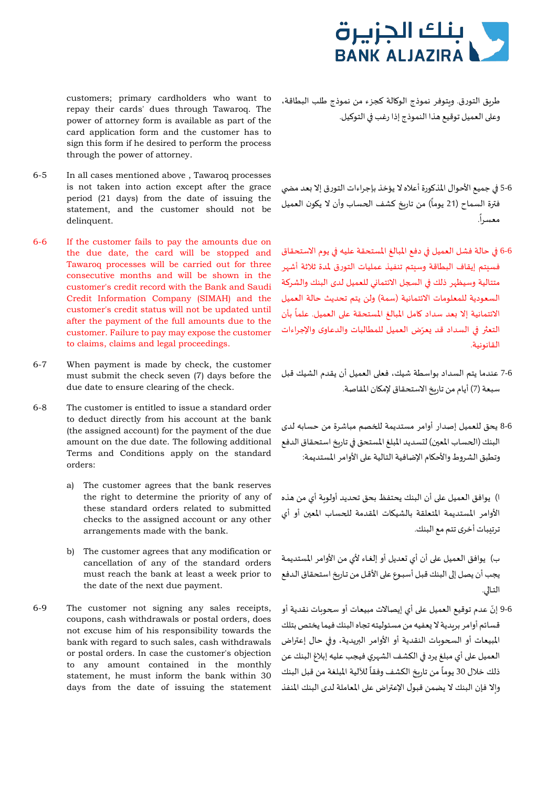

customers; primary cardholders who want to repay their cards' dues through Tawaroq. The power of attorney form is available as part of the card application form and the customer has to sign this form if he desired to perform the process through the power of attorney.

- 6-5 In all cases mentioned above , Tawaroq processes is not taken into action except after the grace period (21 days) from the date of issuing the statement, and the customer should not be delinquent.
- 6-6 If the customer fails to pay the amounts due on the due date, the card will be stopped and Tawaroq processes will be carried out for three consecutive months and will be shown in the customer's credit record with the Bank and Saudi Credit Information Company (SIMAH) and the customer's credit status will not be updated until after the payment of the full amounts due to the customer. Failure to pay may expose the customer to claims, claims and legal proceedings.
- 6-7 When payment is made by check, the customer must submit the check seven (7) days before the due date to ensure clearing of the check.
- 6-8 The customer is entitled to issue a standard order to deduct directly from his account at the bank (the assigned account) for the payment of the due amount on the due date. The following additional Terms and Conditions apply on the standard orders:
	- a) The customer agrees that the bank reserves the right to determine the priority of any of these standard orders related to submitted checks to the assigned account or any other arrangements made with the bank.
	- b) The customer agrees that any modification or cancellation of any of the standard orders must reach the bank at least a week prior to the date of the next due payment.
- 6-9 The customer not signing any sales receipts, coupons, cash withdrawals or postal orders, does not excuse him of his responsibility towards the bank with regard to such sales, cash withdrawals or postal orders. In case the customer's objection to any amount contained in the monthly statement, he must inform the bank within 30 days from the date of issuing the statement

طر�ق التورق. و�توفر نموذج الو�الة كجزء من نموذج طلب البطاقة، وعلى العميل توقيع هذا النموذج إذا رغب في التوكيل.

- 5-6 في جميع الأحوال المذكورة أعلاه لا يؤخذ بإجراءات التورق إلا بعد مضي ًفترة السماح (21 يوماً) من تاريخ كشف الحساب وأن لا يكون العميل<br>. معسرا.
- 6-6 في حالة فشل العميل في دفع المبالغ المستحقة عليه في يوم الاستحقاق فسيتم إيقاف البطاقة وسيتم تنفيذ عمليات التورق لمدة ثلاثة أشهر متتالية وسيظهر ذلك في السجل الائتماني للعميل لدى البنك والشركة السعودية للمعلومات الائتمانية (سمة) ولن يتم تحديث حالة العميل الائتمانية إلا بعد سداد كامل المبالغ المستحقة على العميل. علماً بأن التعثر في السداد قد يعرّض العميل للمطالبات والدعاوى والإجراءات القانونية.
- 7-6 عندما يتم السداد بواسطة شيك، فع�� العميل أن يقدم الشيك قبل سبعة (7) أيام من تاربخ الاستحقاق لإمكان المقاصة.
- 8-6 يحق للعميل إصدار أوامر مستديمة ل�خصم مباشرة من حسابھ لدى البنك (الحساب المعين) لتسديد المبلغ المستحق في تاربخ استحقاق الدفع وتطبق الشروط والأحكام الإضافية التالية على الأوامر المستديمة:

ا) يوافق العميل ع�� أن البنك يحتفظ بحق تحديد أولو�ة أي من هذه الأوامر المستديمة المتعلقة بالشي�ات المقدمة ل�حساب المع�ن أو أي ترتيبات أخرى تتم مع البنك.

ب) يوافق العميل ع�� أن أي �عديل أو إلغـاء لأي من الأوامر المستديمـة يجب أن يصل إلى البنك قبل أسبـوع على الأقـل من تـاربخ استحقاق الـدفع التـالي.

9-6 إنّ عدم توقيع العميل على أي إيصالات مبيعات أو سحوبات نقدية أو قسائم أوامر برىدية لا يعفيه من مسئوليته تجاه البنك فيما يختص بتلك المبيعات أو السحوبات النقدية أو الأوامر البريدية، وفي حال إعتراض العميل على أي مبلغ يرد في الكشف الشهري فيجب عليه إبلاغ البنك عن ۔<br>آ ذلك خلال 30 للآلية المبلغة من قبل البنك ً من تار�خ الكشف وفقا يوما والا فإن البنك لا يضمن قبول الإعتراض على المعاملة لدى البنك المنفذ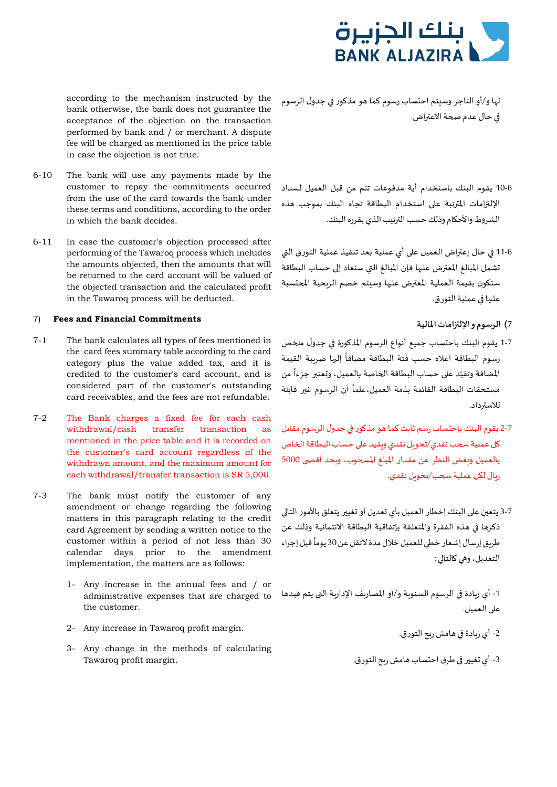

according to the mechanism instructed by the bank otherwise, the bank does not guarantee the acceptance of the objection on the transaction performed by bank and / or merchant. A dispute fee will be charged as mentioned in the price table in case the objection is not true.

- 6-10 The bank will use any payments made by the customer to repay the commitments occurred from the use of the card towards the bank under these terms and conditions, according to the order in which the bank decides.
- 6-11 In case the customer's objection processed after performing of the Tawaroq process which includes the amounts objected, then the amounts that will be returned to the card account will be valued of the objected transaction and the calculated profit in the Tawaroq process will be deducted.

# **7) الرسوم و الإل��امات المالية Commitments Financial and Fees**) <sup>7</sup>

- 7-1 The bank calculates all types of fees mentioned in the card fees summary table according to the card category plus the value added tax, and it is credited to the customer's card account, and is considered part of the customer's outstanding card receivables, and the fees are not refundable.
- 7-2 The Bank charges a fixed fee for each cash withdrawal/cash transfer transaction as mentioned in the price table and it is recorded on the customer's card account regardless of the withdrawn amount, and the maximum amount for each withdrawal/transfer transaction is SR 5,000.
- 7-3 The bank must notify the customer of any amendment or change regarding the following matters in this paragraph relating to the credit card Agreement by sending a written notice to the customer within a period of not less than 30 calendar days prior to the amendment implementation, the matters are as follows:
	- 1- Any increase in the annual fees and / or administrative expenses that are charged to the customer.
	- 2- Any increase in Tawaroq profit margin.<br>2- أي زيادة في هامش ريح التورق.
	- 3- Any change in the methods of calculating -3 أي �غي�� �� طرق احتساب هامش ر�ح التورق. .margin profit Tawaroq
- لها و/أو التاجر وسيتم احتساب رسوم كما هو مذ�ور �� جدول الرسوم في حال عدم صحة الاعتراض.
- 10-6 يقوم البنك باستخدام أية مدفوعات تتم من قبل العميل لسداد الإلتزامات المترتبة على استخدام البطاقة تجاه البنك بموجب هذه الشروط والأح�ام وذلك حسب ال��تيب الذي يقرره البنك.
- 11-6 �� حال إع��اض العميل ع�� أي عملية �عد تنفيذ عملية التورق ال�ي تشمل المبالغ المعترض عليها فإن المبالغ التي ستعاد إلى حساب البطاقة ستكون بقيمة العملية المعترض عليها وسيتم خصم الربحية المحتسبة عليها في عملية التورق.
	-
- 1-7 يقوم البنك باحتساب جميع أنواع الرسوم المذكورة في جدول ملخص رسوم البطاقة أعلاه حسب فئة البطاقة مضافاً إليها ضرببة القيمة المضافة وتقيّد على حساب البطاقة الخاصة بالعميل، وتعتبر جزءاً من مستحقات البطاقة القائمة بذمة العميل،علماً أن الرسوم غير قابلة للاس��داد.
- 2-7 يقوم البنك بإحتساب رسم ثابت كما هو مذ�ور �� جدول الرسوم مقابل كل عملية سحب نقدي/تحويل نقدي وبقيد على حساب البطاقة الخاص بالعميل وبغض النظر عن مقدار المبلغ المسحوب، وبحد أقصى 5000 ربال لكل عملية سحب/تحويل نقدي.
- 3-7 يتعين على البنك إخطار العميل بأي تعديل أو تغيير يتعلق بالأمور التالي ذكرها في هذه الفقرة والمتعلقة بإتفاقية البطاقة الائتمانية وذلك عن ًطريق إرسال إشعار خطي للعميل خلال مدة لاتقل عن 30 يوماً قبل إجراء التعديل، وهي كالتالي :

1- أي زبادة في الرسوم السنوبة و/أو المصاريف الإداربة التي يتم قيدها على العميل.

- 
-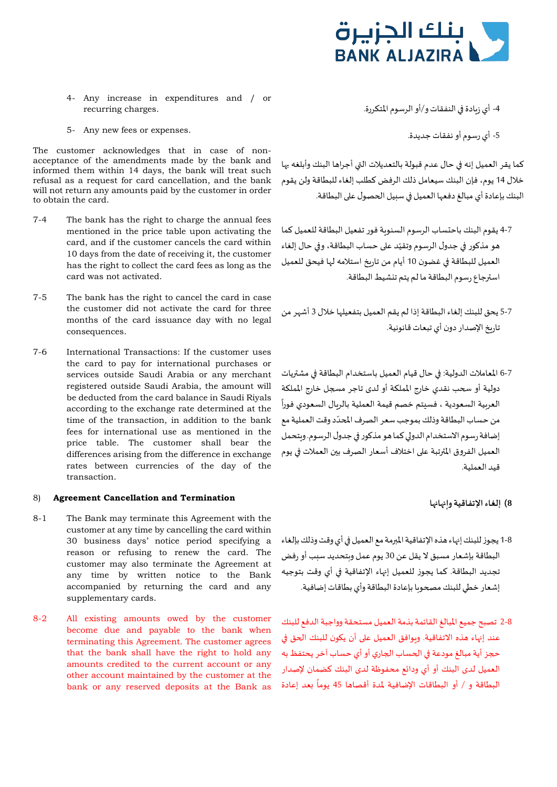

- 4- Any increase in expenditures and / or -4 أي ز�ادة �� النفقات و/أو الرسوم المتكررة. .charges recurring
- -5 أي رسوم أو نفقات جديدة. .expenses or fees new Any 5-

The customer acknowledges that in case of nonacceptance of the amendments made by the bank and informed them within 14 days, the bank will treat such refusal as a request for card cancellation, and the bank will not return any amounts paid by the customer in order to obtain the card.

- 7-4 The bank has the right to charge the annual fees mentioned in the price table upon activating the card, and if the customer cancels the card within 10 days from the date of receiving it, the customer has the right to collect the card fees as long as the card was not activated.
- 7-5 The bank has the right to cancel the card in case the customer did not activate the card for three months of the card issuance day with no legal consequences.
- 7-6 International Transactions: If the customer uses the card to pay for international purchases or services outside Saudi Arabia or any merchant registered outside Saudi Arabia, the amount will be deducted from the card balance in Saudi Riyals according to the exchange rate determined at the time of the transaction, in addition to the bank fees for international use as mentioned in the price table. The customer shall bear the differences arising from the difference in exchange rates between currencies of the day of the transaction.

# **8) إلغاء الإتفاقية و���ا��ا Termination and Cancellation Agreement**) <sup>8</sup>

- 8-1 The Bank may terminate this Agreement with the customer at any time by cancelling the card within 30 business days' notice period specifying a reason or refusing to renew the card. The customer may also terminate the Agreement at any time by written notice to the Bank accompanied by returning the card and any supplementary cards.
- 8-2 All existing amounts owed by the customer become due and payable to the bank when terminating this Agreement. The customer agrees that the bank shall have the right to hold any amounts credited to the current account or any other account maintained by the customer at the bank or any reserved deposits at the Bank as
- -

كما يقر العميل إنه في حال عدم قبولة بالتعديلات التي أجراها البنك وأبلغه بها خلال 14 يوم، فإن البنك سيعامل ذلك الرفض كطلب إلغاء للبطاقة ولن يقوم البنك بإعادة أي مبالغ دفعها العميل في سبيل الحصول على البطاقة.

- 4-7 يقوم البنك باحتساب الرسوم السنو�ة فور تفعيل البطاقة للعميل كما هو مذكور في جدول الرسوم وتقيّد على حساب البطاقة، وفي حال إلغاء العميل للبطاقة �� غضون 10 أيام من تار�خ استلامھ لها فيحق للعميل اس��جاع رسوم البطاقة ما لم يتم تنشيط البطاقة.
- 5-7 يحق للبنك إلغاء البطاقة إذا لم يقم العميل بتفعيلها خلال 3 أشهر من تاريخ الإصدار دون أي تبعات قانونية.
- 6-7 المعاملات الدولية: �� حال قيام العميل باستخدام البطاقة �� مش��يات دولية أو �حب نقدي خارج المملكة أو لدى تاجر م�جل خارج المملكة ً العر�ية السعودية ، فسيتم خصم قيمة العملية بالر�ال السعودي فورا من حساب البطاقة وذلك بموجب سعر الصرف المحدّد وقت العملية مع إضافة رسوم الاستخدام الدولي كما هو مذكور في جدول الرسوم. وبتحمل العميل الفروق المترتبة على اختلاف أسعار الصرف بين العملات في يوم قيد العملية.

- 1-8 يجوز للبنك إنهاء هذه الإتفاقية المبرمة مع العميل في أي وقت وذلك بإلغاء البطاقة بإشعار مسبق لا يقل عن 30 يوم عمل و�تحديد سبب أو رفض تجديد البطاقة. كما يجوز للعميل إنهاء الإتفاقية في أي وقت بتوجيه إشعار خطي للبنك مصحوبا بإعادة البطاقة وأي بطاقات إضافية.
- 2-8 تصبح جميع المبالغ القائمة بذمة العميل مستحقة وواجبة الدفع للبنك عند إنهاء هذه الاتفاقية. وبوافق العميل على أن يكون للبنك الحق في حجز أية مبالغ مودعة في الحساب الجاري أو أي حساب آخر يحتفظ به العميل لدى البنك أو أي ودائع محفوظة لدى البنك كضمان لإصدار ًالبطاقة و / أو البطاقات الإضافية لمدة أقصاها 45 يوماً بعد إعادة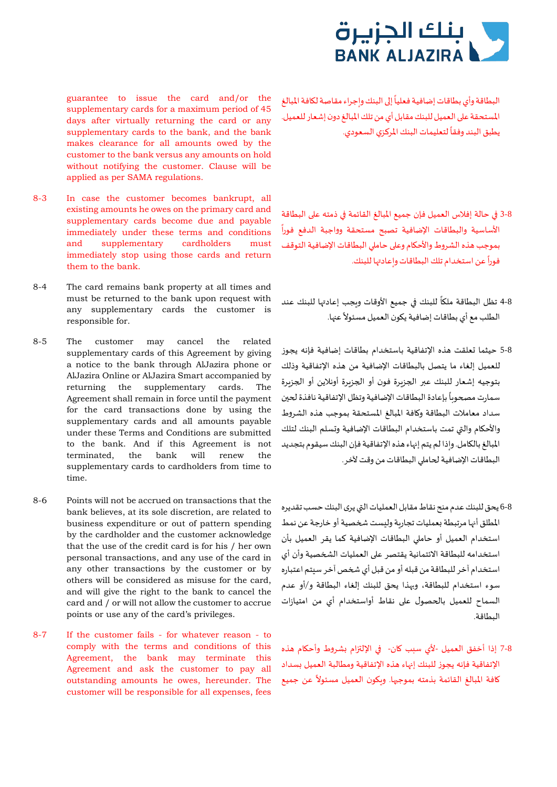

guarantee to issue the card and/or the supplementary cards for a maximum period of 45 days after virtually returning the card or any supplementary cards to the bank, and the bank makes clearance for all amounts owed by the customer to the bank versus any amounts on hold without notifying the customer. Clause will be applied as per SAMA regulations.

- 8-3 In case the customer becomes bankrupt, all existing amounts he owes on the primary card and supplementary cards become due and payable immediately under these terms and conditions and supplementary cardholders must immediately stop using those cards and return them to the bank.
- 8-4 The card remains bank property at all times and must be returned to the bank upon request with any supplementary cards the customer is responsible for.
- 8-5 The customer may cancel the related supplementary cards of this Agreement by giving a notice to the bank through AlJazira phone or AlJazira Online or AlJazira Smart accompanied by returning the supplementary cards. The Agreement shall remain in force until the payment for the card transactions done by using the supplementary cards and all amounts payable under these Terms and Conditions are submitted to the bank. And if this Agreement is not terminated, the bank will renew the supplementary cards to cardholders from time to time.
- 8-6 Points will not be accrued on transactions that the bank believes, at its sole discretion, are related to business expenditure or out of pattern spending by the cardholder and the customer acknowledge that the use of the credit card is for his / her own personal transactions, and any use of the card in any other transactions by the customer or by others will be considered as misuse for the card, and will give the right to the bank to cancel the card and / or will not allow the customer to accrue points or use any of the card's privileges.
- 8-7 If the customer fails for whatever reason to comply with the terms and conditions of this Agreement, the bank may terminate this Agreement and ask the customer to pay all outstanding amounts he owes, hereunder. The customer will be responsible for all expenses, fees

ًالبطاقة وأي بطاقات إضافية فعلياً إلى البنك وإجراء مقاصة لكافة المبالغ المستحقة ع�� العميل للبنك مقابل أي من تلك المبالغ دون إشعار للعميل. يطبق البند وفقاً لتعليمات البنك المركزي السعودي.

# ً 3-8 �� حالة إفلاس العميل فإن جميع المبالغ القائمة �� ذمتھ ع�� البطاقة الأساسية والبطاقات الإضافية تصبح مستحقة وواجبة الدفع فورا بموجب هذه الشروط والأحكام وعلى حاملى البطاقات الإضافية التوقف

.<br>فوراً عن استخدام تلك البطاقات وإعادتها للبنك.

- ً8-4 تظل البطاقة ملكاً للبنك في جميع الأوقات ويجب إعادتها للبنك عند الطلب مع أي بطاقات إضافية يكون العميل مسئولاً عنها.
- 5-8 حيثما تعلقت هذه الإتفاقية باستخدام بطاقات إضافية فإنه يجوز للعميل إلغاء ما يتصل بالبطاقات الإضافية من هذه الإتفاقية وذلك بتوجيه إشعار للبنك عبر الجزبرة فون أو الجزبرة أونلاين أو الجزبرة ًسمارت مصحوباً بإعادة البطاقات الإضافية وتظل الإتفاقية نافذة لحين سداد معاملات البطاقة و�افة المبالغ المستحقة بموجب هذه الشروط والأح�ام وال�ي تمت باستخدام البطاقات الإضافية و�سلم البنك لتلك المبالغ بال�امل. و�ذا لم يتم إ��اء هذه الإتفاقية فإن البنك سيقوم بتجديد البطاقات الإضافية �حام�� البطاقات من وقت لآخر.
- 6-8 يحق للبنك عدم منح نقاط مقابل العمليات ال�ي يرى البنك حسب تقديره المطلق أنها مرتبطة بعمليات تجارىة وليست شخصية أو خارجة عن نمط استخدام العميل أو حام�� البطاقات الإضافية كما يقر العميل بأن استخدامه للبطاقة الائتمانية يقتصر على العمليات الشخصية وأن أي استخدام آخر للبطاقة من قبلھ أو من قبل أي �خص آخر سيتم اعتباره سوء استخدام للبطاقة، و��ذا يحق للبنك إلغاء البطاقة و/أو عدم السماح للعميل با�حصول ع�� نقاط أواستخدام أي من امتيازات البطاقة.
- 7-8 إذا أخفق العميل -لأي سبب �ان- �� الإل��ام �شروط وأح�ام هذه الإتفاقية فإنھ يجوز للبنك إ��اء هذه الإتفاقية ومطالبة العميل �سداد ًكافة المبالغ القائمة بذمته بموجها. ويكون العميل مسئولاً عن جميع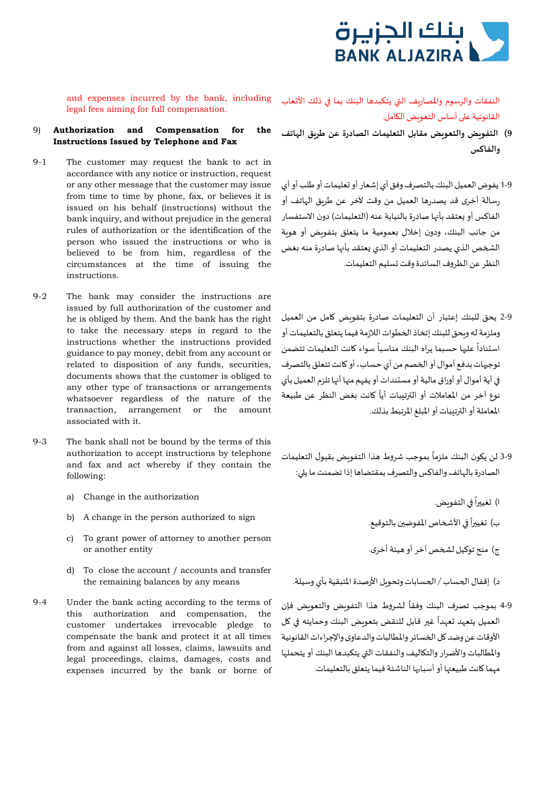

and expenses incurred by the bank, including legal fees aiming for full compensation.

- 9) **Authorization and Compensation for the Instructions Issued by Telephone and Fax**
- 9-1 The customer may request the bank to act in accordance with any notice or instruction, request or any other message that the customer may issue from time to time by phone, fax, or believes it is issued on his behalf (instructions) without the bank inquiry, and without prejudice in the general rules of authorization or the identification of the person who issued the instructions or who is believed to be from him, regardless of the circumstances at the time of issuing the instructions.
- 9-2 The bank may consider the instructions are issued by full authorization of the customer and he is obliged by them. And the bank has the right to take the necessary steps in regard to the instructions whether the instructions provided guidance to pay money, debit from any account or related to disposition of any funds, securities, documents shows that the customer is obliged to any other type of transactions or arrangements whatsoever regardless of the nature of the transaction, arrangement or the amount associated with it.
- 9-3 The bank shall not be bound by the terms of this authorization to accept instructions by telephone and fax and act whereby if they contain the following:
	- �غي��ا . ً ا) �� التفو�ض authorization the in Change) <sup>a</sup>
	- b) A change in the person authorized to sign با تغييراً في الأشخاص المفوضين بالتوقيع.
	- c) To grant power of attorney to another person ج) منح توكيل لشخص آخر أو هيئة أخرى. وn another entity
	- d) To close the account / accounts and transfer
- 9-4 Under the bank acting according to the terms of this authorization and compensation, the customer undertakes irrevocable pledge to compensate the bank and protect it at all times from and against all losses, claims, lawsuits and legal proceedings, claims, damages, costs and expenses incurred by the bank or borne of

النفقات والرسوم والمصار�ف ال�ي يتكبدها البنك بما �� ذلك الأ�عاب القانونية على أساس التعويض الكامل.

- **9) التفو�ض والتعو�ض مقابل التعليمات الصادرة عن طر�ق الهاتف والفاكس**
- 1-9 يفوض العميل البنك بالتصرف وفق أي إشعار أو �عليمات أو طلب أو أي رسالة أخرى قد يصدرها العميل من وقت لآخر عن طر�ق الهاتف أو الفاكس أو يعتقد بأنها صادرة بالنيابة عنه (التعليمات) دون الاستفسار من جانب البنك، ودون إخلال بعمومية ما يتعلق بتفويض أو هوية الشخص الذي يصدر التعليمات أو الذي يعتقد بأنها صادرة منه بغض النظر عن الظروف السائدة وقت �سليم التعليمات.
- 2-9 يحق للبنك إعتبار أن التعليمات صادرة بتفو�ض �امل من العميل ًوملزمة له وبحق للبنك إتخاذ الخطوات اللازمة فيما يتعلق بالتعليمات أو<br>استناداً عليها حسبما يراه البنك مناسباً سواء كانت التعليمات تتضمن توجهات بدفع أموال أو الخصم من أي حساب، أو كانت تتعلق بالتصرف �� أية أموال أو أوراق مالية أو مستندات أو يفهم م��ا أ��ا تلزم العميل بأي -<br>نوع آخر من المعاملات أو الترتيبات أياً كانت بغض النظر عن طبيعة المعاملة أو ال��تيبات أو المبلغ المرتبط بذلك.
- 3-9 لن يكون البنك ملزماً بموجب شروط هذا التفوىض بقبول التعليمات الصادرة بالهاتف والفاكس والتصرف بمقتضاها إذا تضمنت ما ي��:
	-
	-
	-
- د) إقفال ا�حساب / ا�حسابات وتحو�ل الأرصدة المتبقية بأي وسيلة. means any by balances remaining the
	- ً9-4 بموجب تصرف البنك وفقأ لشروط هذا التفويض والتعويض فإن .<br>العميل يتعهد تعهداً غير قابل للنقص بتعويض البنك وحمايته في كل الأوقات عن وضد �ل ا�خسائر والمطالبات والدعاوى والإجر اءات القانونية والمطالبات والأضرار والت�اليف والنفقات ال�ي يتكبدها البنك أو يتحملها مهما �انت طبيع��ا أو أسبا��ا الناشئة فيما يتعلق بالتعليمات.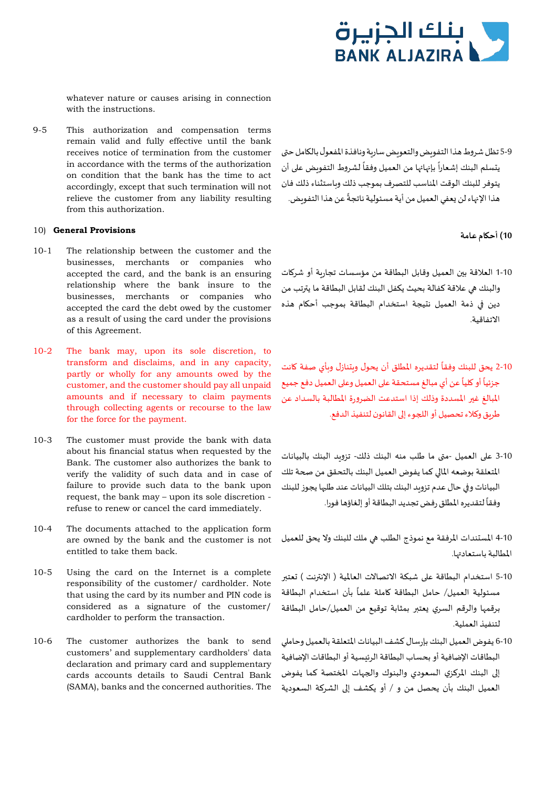

whatever nature or causes arising in connection with the instructions.

9-5 This authorization and compensation terms remain valid and fully effective until the bank receives notice of termination from the customer in accordance with the terms of the authorization on condition that the bank has the time to act accordingly, except that such termination will not relieve the customer from any liability resulting from this authorization.

# **10) أح�ام عامة Provisions General**) <sup>10</sup>

- 10-1 The relationship between the customer and the businesses, merchants or companies who accepted the card, and the bank is an ensuring relationship where the bank insure to the businesses, merchants or companies who accepted the card the debt owed by the customer as a result of using the card under the provisions of this Agreement.
- 10-2 The bank may, upon its sole discretion, to transform and disclaims, and in any capacity, partly or wholly for any amounts owed by the customer, and the customer should pay all unpaid amounts and if necessary to claim payments through collecting agents or recourse to the law for the force for the payment.
- 10-3 The customer must provide the bank with data about his financial status when requested by the Bank. The customer also authorizes the bank to verify the validity of such data and in case of failure to provide such data to the bank upon request, the bank may – upon its sole discretion refuse to renew or cancel the card immediately.
- 10-4 The documents attached to the application form are owned by the bank and the customer is not entitled to take them back.
- 10-5 Using the card on the Internet is a complete responsibility of the customer/ cardholder. Note that using the card by its number and PIN code is considered as a signature of the customer/ cardholder to perform the transaction.
- 10-6 The customer authorizes the bank to send customers' and supplementary cardholders' data declaration and primary card and supplementary cards accounts details to Saudi Central Bank (SAMA), banks and the concerned authorities. The

5-9 تظل شروط هذا التفويض والتعويض ساربة ونافذة المفعول بالكامل حتى ً لشروط التفو�ض ع�� أن ً بإ��ا��ا من العميل وفقا يتسلم البنك إشعارا يتوفر للبنك الوقت المناسب للتصرف بموجب ذلك و�استثناء ذلك فان هذا الإنهاء لن يعفي العميل من أية مسئولية ناتجةً عن هذا التفويض.

- 1-10 العلاقة ب�ن العميل وقابل البطاقة من مؤسسات تجار�ة أو شر�ات والبنك �� علاقة كفالة بحيث يكفل البنك لقابل البطاقة ما ي��تب من دين �� ذمة العميل نتيجة استخدام البطاقة بموجب أح�ام هذه الاتفاقية.
- ً2-10 يحق للبنك وفقأ لتقديره المطلق أن يحول ويتنازل وبأي صفة كانت ً عن أي مبالغ مستحقة ع�� العميل وع�� العميل دفع جميع ً أو �ليا جزئيا المبالغ غ�� المسددة وذلك إذا استدعت الضرورة المطالبة بالسداد عن طر�ق وكلاء تحصيل أو ال�جوء إ�� القانون لتنفيذ الدفع.
- 3-10 ع�� العميل -م�ى ما طلب منھ البنك ذلك- تزو�د البنك بالبيانات المتعلقة بوضعھ الما�� كما يفوض العميل البنك بالتحقق من �حة تلك البيانات وفي حال عدم تزويد البنك بتلك البيانات عند طلبها يجوز للبنك ً لتقديره المطلق رفض تجديد البطاقة أو إلغاؤها فورا. وفقا

4-10 المستندات المرفقة مع نموذج الطلب �� ملك للبنك ولا يحق للعميل المطالبة باستعاد��ا.

- 5-10 استخدام البطاقة على شبكة الاتصالات العالمية ( الإنترنت ) تعتبر .<br>مسئولية العميل/ حامل البطاقة كاملة علماً بأن استخدام البطاقة برقمها والرقم السري يعتبر بمثابة توقيع من العميل/حامل البطاقة لتنفيذ العملية.
- 6-10 يفوض العميل البنك بإرسال كشف البيانات المتعلقة بالعميل وحام�� البطاقات الإضافية أو بحساب البطاقة الرئيسية أو البطاقات الإضافية إ�� البنك المركزي السعودي والبنوك وا�جهات ا�ختصة كما يفوض العميل البنك بأن يحصل من و / أو يكشف إ�� الشركة السعودية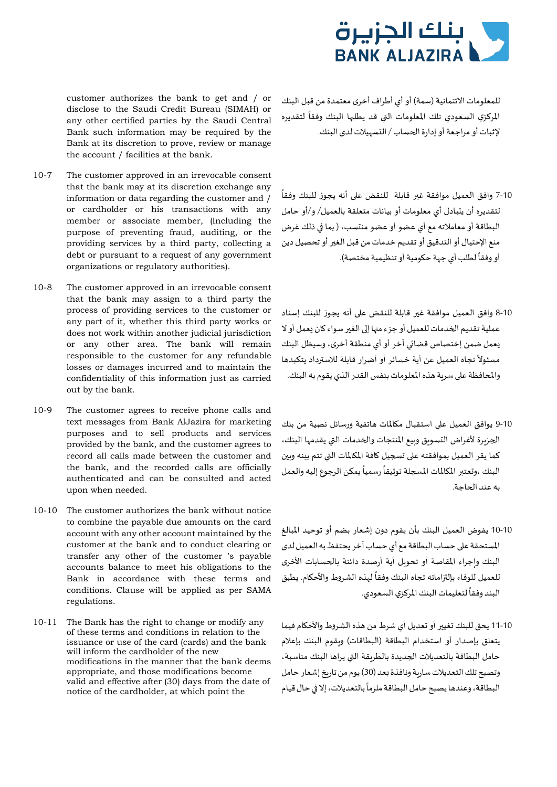

customer authorizes the bank to get and / or disclose to the Saudi Credit Bureau (SIMAH) or any other certified parties by the Saudi Central Bank such information may be required by the Bank at its discretion to prove, review or manage the account / facilities at the bank.

- 10-7 The customer approved in an irrevocable consent that the bank may at its discretion exchange any information or data regarding the customer and / or cardholder or his transactions with any member or associate member, (Including the purpose of preventing fraud, auditing, or the providing services by a third party, collecting a debt or pursuant to a request of any government organizations or regulatory authorities).
- 10-8 The customer approved in an irrevocable consent that the bank may assign to a third party the process of providing services to the customer or any part of it, whether this third party works or does not work within another judicial jurisdiction or any other area. The bank will remain responsible to the customer for any refundable losses or damages incurred and to maintain the confidentiality of this information just as carried out by the bank.
- 10-9 The customer agrees to receive phone calls and text messages from Bank AlJazira for marketing purposes and to sell products and services provided by the bank, and the customer agrees to record all calls made between the customer and the bank, and the recorded calls are officially authenticated and can be consulted and acted upon when needed.
- 10-10 The customer authorizes the bank without notice to combine the payable due amounts on the card account with any other account maintained by the customer at the bank and to conduct clearing or transfer any other of the customer 's payable accounts balance to meet his obligations to the Bank in accordance with these terms and conditions. Clause will be applied as per SAMA regulations.
- 10-11 The Bank has the right to change or modify any of these terms and conditions in relation to the issuance or use of the card (cards) and the bank will inform the cardholder of the new modifications in the manner that the bank deems appropriate, and those modifications become valid and effective after (30) days from the date of notice of the cardholder, at which point the

للمعلومات الائتمانية (سمة) أو أي أطراف أخرى معتمدة من قبل البنك ًالمركزي السعودي تلك المعلومات التي قد يطلبها البنك وفقأ لتقديره لإثبات أو مراجعة أو إدارة ا�حساب / التسهيلات لدى البنك.

- 7-10 وافق العميل موافقة غير قابلة للنقض على أنه يجوز للبنك وفقاً لتقديره أن يتبادل أي معلومات أو بيانات متعلقة بالعميل/ و/أو حامل البطاقة أو معاملاتھ مع أي عضو أو عضو منتسب، ( بما �� ذلك غرض منع الإحتيال أو التدقيق أو تقديم خدمات من قبل الغ�� أو تحصيل دين ً لطلب أي جهة ح�ومية أو تنظيمية مختصة). أو وفقا
- 8-10 وافق العميل موافقة غير قابلة للنقض على أنه يجوز للبنك إسناد عملية تقديم الخدمات للعميل أو جزء منها إلى الغير سواء كان يعمل أو لا �عمل ضمن إختصاص قضائي آخر أو أي منطقة أخرى، وسيظل البنك ً تجاه العميل عن أية خسائر أو أضرار قابلة للاس��داد يتكبدها مسئولا والمحافظة على سربة هذه المعلومات بنفس القدر الذي يقوم به البنك.
- 9-10 يوافق العميل ع�� استقبال م�المات هاتفية ورسائل نصية من بنك الجزبرة لأغراض التسوبق وبيع المنتجات والخدمات التي يقدمها البنك، كما يقر العميل بموافقته على تسجيل كافة المكالمات التي تتم بينه وين ً.<br>البنك ،وتعتبر المكالمات المسجلة توثيقاً رسمياً يمكن الرجوع إليه والعمل بھ عند ا�حاجة.
- 10-10 يفوض العميل البنك بأن يقوم دون إشعار بضم أو توحيد المبالغ المستحقة ع�� حساب البطاقة مع أي حساب آخر يحتفظ بھ العميل لدى البنك واجراء المقاصة أو تحويل أية أرصدة دائنة بالحسابات الأخرى ر.<br>للعميل للوفاء بإلتزاماته تجاه البنك وفقاً لهذه الشروط والأحكام. يطبق البند وفقاً لتعليمات البنك المركزي السعودي.
- 11-10 يحق للبنك تغيير أو تعديل أي شرط من هذه الشروط والأحكام فيما يتعلق بإصدار أو استخدام البطاقة (البطاقات) و�قوم البنك بإعلام حامل البطاقة بالتعديلات الجديدة بالطربقة التي يراها البنك مناسبة، وتصبح تلك التعديلات سارمة ونافذة بعد (30) يوم من تارمخ إشعار حامل البطاقة، وعندها يصبح حامل البطاقة ملزماً بالتعديلات، إلا في حال قيام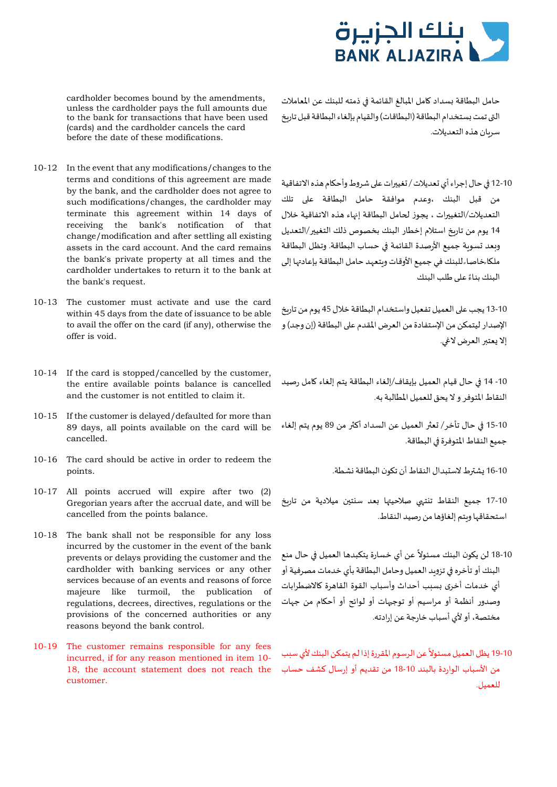

حامل البطاقة بسداد كامل المبالغ القائمة في ذمته للبنك عن المعاملات التي تمت بستخدام البطاقة (البطاقات) والقيام بإلغاء البطاقة قبل تاربخ سريان هذه التعديلات.

12-10 في حال إجراء أي تعديلات / تغييرات على شروط وأحكام هذه الاتفاقية من قبل البنك ،وعدم موافقة حامل البطاقة ع�� تلك التعديلات/التغييرات ، يجوز لحامل البطاقة إنهاء هذه الاتفاقية خلال 14 يوم من تاربخ استلام إخطار البنك بخصوص ذلك التغيير/التعديل وبعد تسوية جميع الأرصدة القائمة في حساب البطاقة. وتظل البطاقة ملكا خاصاء للبنك في جميع الأوقات وبتعهد حامل البطاقة بإعادتها إلى البنك بناءً على طلب البنك

13-10 يجب على العميل تفعيل واستخدام البطاقة خلال 45 يوم من تاربخ الإصدار ليتمكن من الإستفادة من العرض المقدم ع�� البطاقة (إن وجد)و إلا يعتبر العرض لاغي.

-10 14 �� حال قيام العميل بإيقاف/إلغاء البطاقة يتم إلغاء �امل رصيد النقاط المتوفر و لا يحق للعميل المطالبة بھ.

15-10 �� حال تأخر/ �ع�� العميل عن السداد أك�� من 89 يوم يتم إلغاء جميع النقاط المتوفرة �� البطاقة.

17-10 جميع النقاط تنتهى صلاحيتها بعد سنتين ميلادية من تاريخ استحقاقها و�تم إلغاؤها من رصيد النقاط.

- ً18-10 لن يكون البنك مسئولاً عن أي خسارة يتكبدها العميل في حال منع البنك أو تأخره في تزوىد العميل وحامل البطاقة بأي خدمات مصرفية أو أي خدمات أخرى �سبب أحداث وأسباب القوة القاهرة �الاضطرابات وصدور أنظمة أو مراسيم أو توج��ات أو لوائح أو أح�ام من جهات مختصة، أو لأي أسباب خارجة عن إرادتھ.
- **أ** 10-10 يظل العميل مسئولاً عن الرسوم المقررة إذا لم يتمكن البنك لأي سبب من الأسباب الواردة بالبند 18-10 من تقديم أو إرسال كشف حساب للعميل.

cardholder becomes bound by the amendments, unless the cardholder pays the full amounts due to the bank for transactions that have been used (cards) and the cardholder cancels the card before the date of these modifications.

- 10-12 In the event that any modifications/changes to the terms and conditions of this agreement are made by the bank, and the cardholder does not agree to such modifications/changes, the cardholder may terminate this agreement within 14 days of receiving the bank's notification of that change/modification and after settling all existing assets in the card account. And the card remains the bank's private property at all times and the cardholder undertakes to return it to the bank at the bank's request.
- 10-13 The customer must activate and use the card within 45 days from the date of issuance to be able to avail the offer on the card (if any), otherwise the offer is void.
- 10-14 If the card is stopped/cancelled by the customer, the entire available points balance is cancelled and the customer is not entitled to claim it.
- 10-15 If the customer is delayed/defaulted for more than 89 days, all points available on the card will be cancelled.
- 10-16 The card should be active in order to redeem the 16-10 �ش��ط لاستبدال النقاط أن ت�ون البطاقة �شطة. .points
- 10-17 All points accrued will expire after two (2) Gregorian years after the accrual date, and will be cancelled from the points balance.
- 10-18 The bank shall not be responsible for any loss incurred by the customer in the event of the bank prevents or delays providing the customer and the cardholder with banking services or any other services because of an events and reasons of force majeure like turmoil, the publication of regulations, decrees, directives, regulations or the provisions of the concerned authorities or any reasons beyond the bank control.
- 10-19 The customer remains responsible for any fees incurred, if for any reason mentioned in item 10- 18, the account statement does not reach the customer.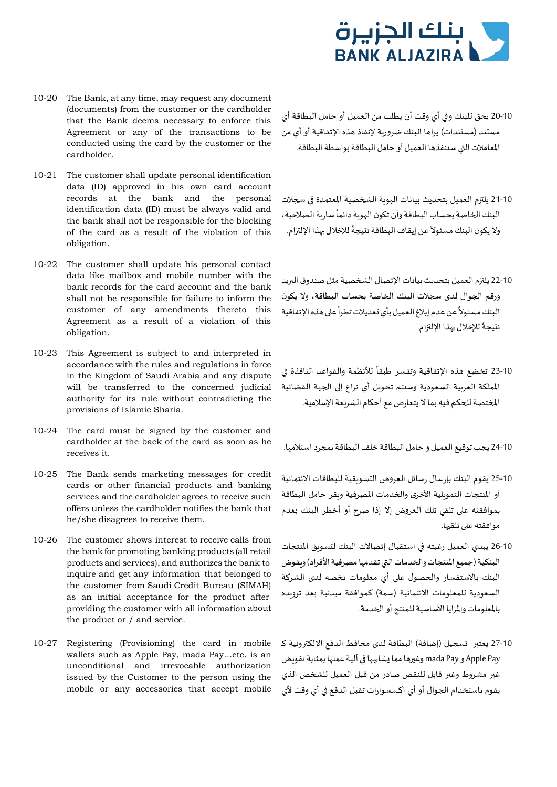

- 10-20 The Bank, at any time, may request any document (documents) from the customer or the cardholder that the Bank deems necessary to enforce this Agreement or any of the transactions to be conducted using the card by the customer or the cardholder.
- 10-21 The customer shall update personal identification data (ID) approved in his own card account records at the bank and the personal identification data (ID) must be always valid and the bank shall not be responsible for the blocking of the card as a result of the violation of this obligation.
- 10-22 The customer shall update his personal contact data like mailbox and mobile number with the bank records for the card account and the bank shall not be responsible for failure to inform the customer of any amendments thereto this Agreement as a result of a violation of this obligation.
- 10-23 This Agreement is subject to and interpreted in accordance with the rules and regulations in force in the Kingdom of Saudi Arabia and any dispute will be transferred to the concerned judicial authority for its rule without contradicting the provisions of Islamic Sharia.
- 10-24 The card must be signed by the customer and cardholder at the back of the card as soon as he 24-10 يجب توقيع العميل و حامل البطاقة خلف البطاقة بمجرد استلامها. .it receives
- 10-25 The Bank sends marketing messages for credit cards or other financial products and banking services and the cardholder agrees to receive such offers unless the cardholder notifies the bank that he/she disagrees to receive them.
- 10-26 The customer shows interest to receive calls from the bank for promoting banking products (all retail products and services), and authorizes the bank to inquire and get any information that belonged to the customer from Saudi Credit Bureau (SIMAH) as an initial acceptance for the product after providing the customer with all information about the product or / and service.
- 10-27 Registering (Provisioning) the card in mobile wallets such as Apple Pay, mada Pay…etc. is an unconditional and irrevocable authorization issued by the Customer to the person using the mobile or any accessories that accept mobile
- 20-10 يحق للبنك و�� أي وقت أن يطلب من العميل أو حامل البطاقة أي مستند (مستندات) يراها البنك ضرور�ة لإنفاذ هذه الإتفاقية أو أي من المعاملات ال�ي سينفذها العميل أو حامل البطاقة بواسطة البطاقة.
- 10-21 يلتزم العميل بتحديث بيانات الهوبة الشخصية المعتمدة في سجلات .<br>البنك الخاصة بحساب البطاقة وأن تكون الهوية دائماً سارية الصلاحية، ولا يكون البنك مسئولاً عن إيقاف البطاقة نتيجةً للإخلال بهذا الإلتزام.<br>-
- 10-22 يلتزم العميل بتحديث بيانات الإتصال الشخصية مثل صندوق البريد ورقم الجوال لدى سجلات البنك الخاصة بحساب البطاقة، ولا يكون .<br>البنك مسئولاً عن عدم إبلاغ العميل بأي تعديلات تطراً على هذه الإتفاقية سبب<br>تتيجةً للإخلال بهذا الإلتزام.
- ً10-23 تخضع هذه الإتفاقية وتفسر طبقاً للأنظمة والقواعد النافذة في المملكة العربية السعودية وسيتم تحويل أي نزاع إلى الجهة القضائية ا�ختصة ل�حكم فيھ بما لا يتعارض مع أح�ام الشريعة الإسلامية.

- 25-10 يقوم البنك بإرسال رسائل العروض التسو�قية للبطاقات الائتمانية أو المنتجات التموبلية الأخرى والخدمات المصرفية وبقر حامل البطاقة بموافقتھ ع�� تلقي تلك العروض إلا إذا صرح أو أخطر البنك �عدم موافقته على تلقيها.
- 26-10 يبدي العميل رغبتھ �� استقبال إتصالات البنك لتسو�ق المنتجات البنكية (جميع المنتجات والخدمات التي تقدمها مصرفية الأفراد) ويفوض البنك بالاستفسار والحصول على أي معلومات تخصه لدى الشركة السعودية للمعلومات الائتمانية (سمة) كموافقة مبدئية �عد تزو�ده بالمعلومات والمزايا الأساسية للمنتج أو ا�خدمة.
- 10-27 يعتبر تسجيل (إضافة) البطاقة لدى محافظ الدفع الالكترونية كـ Apple Pay و mada Pay وغيرها مما يشابهها في آلية عملها بمثابة تفوىض غير مشروط وغير قابل للنقض صادر من قبل العميل للشخص الذي يقوم باستخدام ا�جوال أو أي اكسسوارات تقبل الدفع �� أي وقت لأي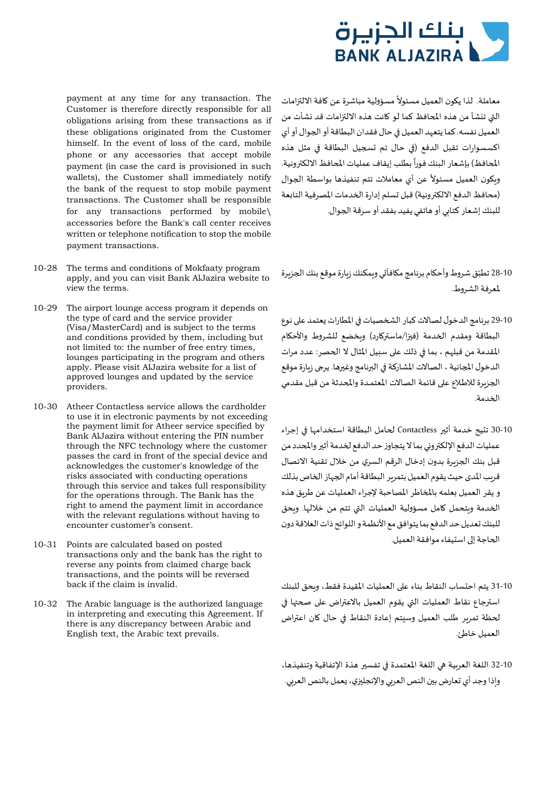

payment at any time for any transaction. The Customer is therefore directly responsible for all obligations arising from these transactions as if these obligations originated from the Customer himself. In the event of loss of the card, mobile phone or any accessories that accept mobile payment (in case the card is provisioned in such wallets), the Customer shall immediately notify the bank of the request to stop mobile payment transactions. The Customer shall be responsible for any transactions performed by mobile\ accessories before the Bank's call center receives written or telephone notification to stop the mobile payment transactions.

- 10-28 The terms and conditions of Mokfaaty program apply, and you can visit Bank AlJazira website to view the terms.
- 10-29 The airport lounge access program it depends on the type of card and the service provider (Visa/MasterCard) and is subject to the terms and conditions provided by them, including but not limited to: the number of free entry times, lounges participating in the program and others apply. Please visit AlJazira website for a list of approved lounges and updated by the service providers.
- 10-30 Atheer Contactless service allows the cardholder to use it in electronic payments by not exceeding the payment limit for Atheer service specified by Bank AlJazira without entering the PIN number through the NFC technology where the customer passes the card in front of the special device and acknowledges the customer's knowledge of the risks associated with conducting operations through this service and takes full responsibility for the operations through. The Bank has the right to amend the payment limit in accordance with the relevant regulations without having to encounter customer's consent.
- 10-31 Points are calculated based on posted transactions only and the bank has the right to reverse any points from claimed charge back transactions, and the points will be reversed back if the claim is invalid.
- 10-32 The Arabic language is the authorized language in interpreting and executing this Agreement. If there is any discrepancy between Arabic and English text, the Arabic text prevails.

معاملة. لذا يكون العميل مسئولاً مسؤولية مباشرة عن كافة الالتزامات التي تنشأ من هذه المحافظ كما لو كانت هذه الالتزامات قد نشأت من العميل نفسھ. كما يتعهد العميل �� حال فقدان البطاقة أو ا�جوال أو أي اكسسوارات تقبل الدفع (�� حال تم ��جيل البطاقة �� مثل هذه سب<br>المحافظ) بإشعار البنك فوراً بطلب إيقاف عمليات المحافظ الالكترونية. ويكون العميل مسئولاً عن أي معاملات تتم تنفيذها بواسطة الجوال (محافظ الدفع الالكترونية) قبل تسلم إدارة الخدمات المصرفية التابعة للبنك إشعار كتا�ي أو هاتفي يفيد بفقد أو سرقة ا�جوال.

- 10-28 تطبّق شروط وأحكام برنامج مكافآتي وبمكنك زبارة موقع بنك الجزبرة لمعرفةالشروط.
- 10-29 برنامج الدخول لصالات كبار الشخصيات في المطارات يعتمد على نوع البطاقة ومقدم الخدمة (فيزا/ماستركارد) وبخضع للشروط والأحكام المقدمة من قبلهم ، بما في ذلك على سبيل المثال لا الحصر: عدد مرات الدخول المجانية ، الصالات المشاركة في البرنامج وغيرها. يرجى زبارة موقع الجزبرة للاطلاع على قائمة الصالات المعتمـدة والمحدثة من قبل مقدمي ا�خدمة.
- 30-10 تتيح خدمة أث�� Contactless� حامل البطاقة استخدامها �� إجراء عمليات الدفع الإلكتروني بما لا يتجاوز حد الدفع لخدمة أثير والمحدد من قبل بنك الجزبرة بدون إدخال الرقم السري من خلال تقنية الاتصال قرب المدى حيث بقوم العميل بتمرير البطاقة أمام الجهاز الخاص بذلك و يقر العميل بعلمه بالمخاطر المصاحبة لإجراء العمليات عن طربق هذه الخدمة ومتحمل كامل مسؤولية العمليات التي تتم من خلالها. وبحق للبنك تعديل حد الدفع بما يتوافق مع الأنظمة و اللوائح ذات العلاقة دون الحاجة إلى استيفاء موافقة العميل.
- 31-10 يتم احتساب النقاط بناء ع�� العمليات المقيدة فقط، و�حق للبنك استرجاع نقاط العمليات التي يقوم العميل بالاعتراض على صحتها في لحظة تمرير طلب العميل وسيتم إعادة النقاط في حال كان اعتراض العميل خاطئ.
- 32-10 اللغة العربية هي اللغة المعتمدة في تفسير هذة الإتفاقية وتنفيذها، واذا وجد أي تعارض بين النص العربي والإنجليزي، يعمل بالنص العربي.